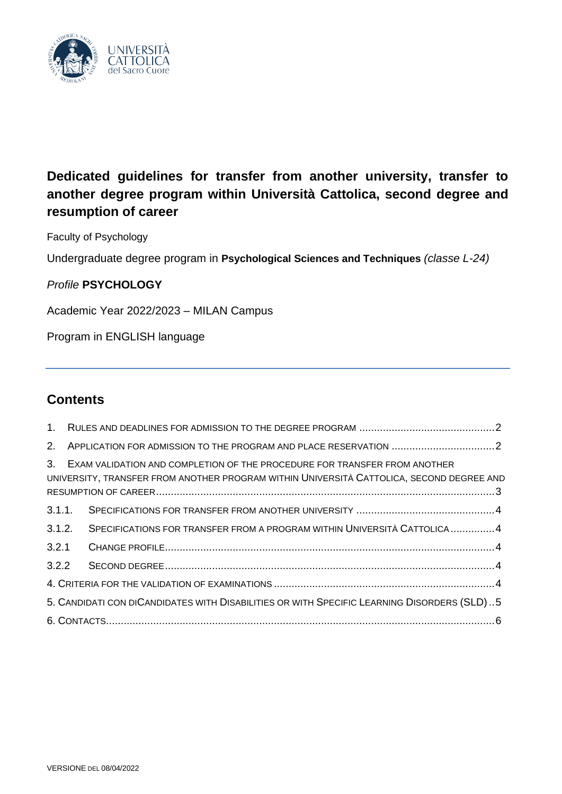

# **Dedicated guidelines for transfer from another university, transfer to another degree program within Università Cattolica, second degree and resumption of career**

Faculty of Psychology

Undergraduate degree program in **Psychological Sciences and Techniques** *(classe L-24)*

## *Profile* **PSYCHOLOGY**

Academic Year 2022/2023 – MILAN Campus

Program in ENGLISH language

## **Contents**

| $2^{2}$                                                                                    |                                                                                                                                                                          |  |  |
|--------------------------------------------------------------------------------------------|--------------------------------------------------------------------------------------------------------------------------------------------------------------------------|--|--|
|                                                                                            | 3. EXAM VALIDATION AND COMPLETION OF THE PROCEDURE FOR TRANSFER FROM ANOTHER<br>UNIVERSITY, TRANSFER FROM ANOTHER PROGRAM WITHIN UNIVERSITÀ CATTOLICA, SECOND DEGREE AND |  |  |
| 3.1.1.                                                                                     |                                                                                                                                                                          |  |  |
| 3.1.2.                                                                                     | SPECIFICATIONS FOR TRANSFER FROM A PROGRAM WITHIN UNIVERSITÀ CATTOLICA 4                                                                                                 |  |  |
| 3.2.1                                                                                      |                                                                                                                                                                          |  |  |
| 3.2.2                                                                                      |                                                                                                                                                                          |  |  |
|                                                                                            |                                                                                                                                                                          |  |  |
| 5. CANDIDATI CON DICANDIDATES WITH DISABILITIES OR WITH SPECIFIC LEARNING DISORDERS (SLD)5 |                                                                                                                                                                          |  |  |
|                                                                                            |                                                                                                                                                                          |  |  |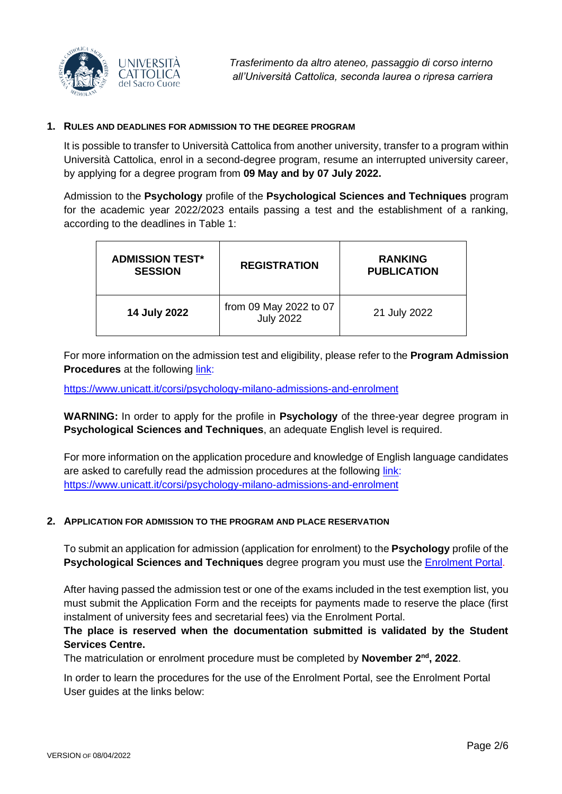

#### <span id="page-1-0"></span>**1. RULES AND DEADLINES FOR ADMISSION TO THE DEGREE PROGRAM**

It is possible to transfer to Università Cattolica from another university, transfer to a program within Università Cattolica, enrol in a second-degree program, resume an interrupted university career, by applying for a degree program from **09 May and by 07 July 2022.**

Admission to the **Psychology** profile of the **Psychological Sciences and Techniques** program for the academic year 2022/2023 entails passing a test and the establishment of a ranking, according to the deadlines in Table 1:

| <b>ADMISSION TEST*</b><br><b>SESSION</b> | <b>REGISTRATION</b>                        | <b>RANKING</b><br><b>PUBLICATION</b> |
|------------------------------------------|--------------------------------------------|--------------------------------------|
| 14 July 2022                             | from 09 May 2022 to 07<br><b>July 2022</b> | 21 July 2022                         |

For more information on the admission test and eligibility, please refer to the **Program Admission Procedures** at the following [link:](https://www.unicatt.it/corsi/psychology-milano-admissions-and-enrolment)

<https://www.unicatt.it/corsi/psychology-milano-admissions-and-enrolment>

**WARNING:** In order to apply for the profile in **Psychology** of the three-year degree program in **Psychological Sciences and Techniques**, an adequate English level is required.

For more information on the application procedure and knowledge of English language candidates are asked to carefully read the admission procedures at the following [link:](https://www.unicatt.it/corsi/psychology-milano-admissions-and-enrolment) <https://www.unicatt.it/corsi/psychology-milano-admissions-and-enrolment>

#### <span id="page-1-1"></span>**2. APPLICATION FOR ADMISSION TO THE PROGRAM AND PLACE RESERVATION**

To submit an application for admission (application for enrolment) to the **Psychology** profile of the **Psychological Sciences and Techniques** degree program you must use the [Enrolment Portal.](https://iscrizioni.unicatt.it/iscrizioni)

After having passed the admission test or one of the exams included in the test exemption list, you must submit the Application Form and the receipts for payments made to reserve the place (first instalment of university fees and secretarial fees) via the Enrolment Portal.

## **The place is reserved when the documentation submitted is validated by the Student Services Centre.**

The matriculation or enrolment procedure must be completed by November 2<sup>nd</sup>, 2022.

In order to learn the procedures for the use of the Enrolment Portal, see the Enrolment Portal User guides at the links below: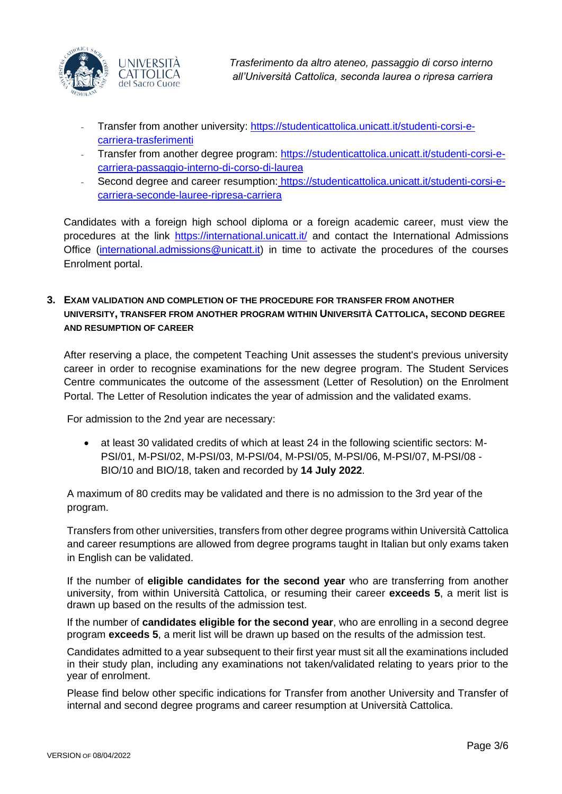

- Transfer from another university: [https://studenticattolica.unicatt.it/studenti-corsi-e](https://studenticattolica.unicatt.it/studenti-corsi-e-carriera-trasferimenti)[carriera-trasferimenti](https://studenticattolica.unicatt.it/studenti-corsi-e-carriera-trasferimenti)
- Transfer from another degree program: [https://studenticattolica.unicatt.it/studenti-corsi-e](https://studenticattolica.unicatt.it/studenti-corsi-e-carriera-passaggio-interno-di-corso-di-laurea)[carriera-passaggio-interno-di-corso-di-laurea](https://studenticattolica.unicatt.it/studenti-corsi-e-carriera-passaggio-interno-di-corso-di-laurea)
- Second degree and career resumption: [https://studenticattolica.unicatt.it/studenti-corsi-e](https://studenticattolica.unicatt.it/studenti-corsi-e-carriera-seconde-lauree-ripresa-carriera)[carriera-seconde-lauree-ripresa-carriera](https://studenticattolica.unicatt.it/studenti-corsi-e-carriera-seconde-lauree-ripresa-carriera)

Candidates with a foreign high school diploma or a foreign academic career, must view the procedures at the link<https://international.unicatt.it/> and contact the International Admissions Office [\(international.admissions@unicatt.it\)](mailto:international.admissions@unicatt.it) in time to activate the procedures of the courses Enrolment portal.

## <span id="page-2-0"></span>**3. EXAM VALIDATION AND COMPLETION OF THE PROCEDURE FOR TRANSFER FROM ANOTHER UNIVERSITY, TRANSFER FROM ANOTHER PROGRAM WITHIN UNIVERSITÀ CATTOLICA, SECOND DEGREE AND RESUMPTION OF CAREER**

After reserving a place, the competent Teaching Unit assesses the student's previous university career in order to recognise examinations for the new degree program. The Student Services Centre communicates the outcome of the assessment (Letter of Resolution) on the Enrolment Portal. The Letter of Resolution indicates the year of admission and the validated exams.

For admission to the 2nd year are necessary:

• at least 30 validated credits of which at least 24 in the following scientific sectors: M-PSI/01, M-PSI/02, M-PSI/03, M-PSI/04, M-PSI/05, M-PSI/06, M-PSI/07, M-PSI/08 - BIO/10 and BIO/18, taken and recorded by **14 July 2022**.

A maximum of 80 credits may be validated and there is no admission to the 3rd year of the program.

Transfers from other universities, transfers from other degree programs within Università Cattolica and career resumptions are allowed from degree programs taught in Italian but only exams taken in English can be validated.

If the number of **eligible candidates for the second year** who are transferring from another university, from within Università Cattolica, or resuming their career **exceeds 5**, a merit list is drawn up based on the results of the admission test.

If the number of **candidates eligible for the second year**, who are enrolling in a second degree program **exceeds 5**, a merit list will be drawn up based on the results of the admission test.

Candidates admitted to a year subsequent to their first year must sit all the examinations included in their study plan, including any examinations not taken/validated relating to years prior to the year of enrolment.

Please find below other specific indications for Transfer from another University and Transfer of internal and second degree programs and career resumption at Università Cattolica.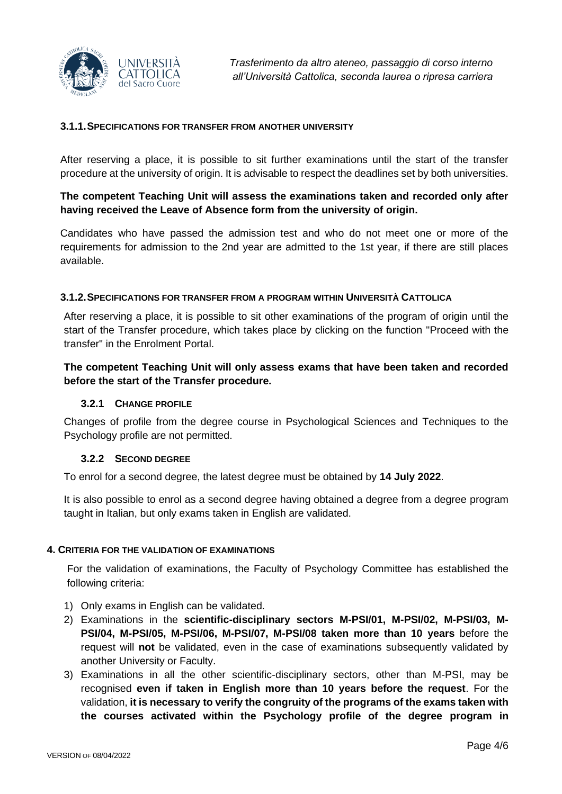

#### <span id="page-3-0"></span>**3.1.1.SPECIFICATIONS FOR TRANSFER FROM ANOTHER UNIVERSITY**

After reserving a place, it is possible to sit further examinations until the start of the transfer procedure at the university of origin. It is advisable to respect the deadlines set by both universities.

## **The competent Teaching Unit will assess the examinations taken and recorded only after having received the Leave of Absence form from the university of origin.**

Candidates who have passed the admission test and who do not meet one or more of the requirements for admission to the 2nd year are admitted to the 1st year, if there are still places available.

#### <span id="page-3-1"></span>**3.1.2.SPECIFICATIONS FOR TRANSFER FROM A PROGRAM WITHIN UNIVERSITÀ CATTOLICA**

After reserving a place, it is possible to sit other examinations of the program of origin until the start of the Transfer procedure, which takes place by clicking on the function "Proceed with the transfer" in the Enrolment Portal.

## **The competent Teaching Unit will only assess exams that have been taken and recorded before the start of the Transfer procedure.**

#### **3.2.1 CHANGE PROFILE**

<span id="page-3-2"></span>Changes of profile from the degree course in Psychological Sciences and Techniques to the Psychology profile are not permitted.

#### **3.2.2 SECOND DEGREE**

<span id="page-3-3"></span>To enrol for a second degree, the latest degree must be obtained by **14 July 2022**.

It is also possible to enrol as a second degree having obtained a degree from a degree program taught in Italian, but only exams taken in English are validated.

#### <span id="page-3-4"></span>**4. CRITERIA FOR THE VALIDATION OF EXAMINATIONS**

For the validation of examinations, the Faculty of Psychology Committee has established the following criteria:

- 1) Only exams in English can be validated.
- 2) Examinations in the **scientific-disciplinary sectors M-PSI/01, M-PSI/02, M-PSI/03, M-PSI/04, M-PSI/05, M-PSI/06, M-PSI/07, M-PSI/08 taken more than 10 years** before the request will **not** be validated, even in the case of examinations subsequently validated by another University or Faculty.
- 3) Examinations in all the other scientific-disciplinary sectors, other than M-PSI, may be recognised **even if taken in English more than 10 years before the request**. For the validation, **it is necessary to verify the congruity of the programs of the exams taken with the courses activated within the Psychology profile of the degree program in**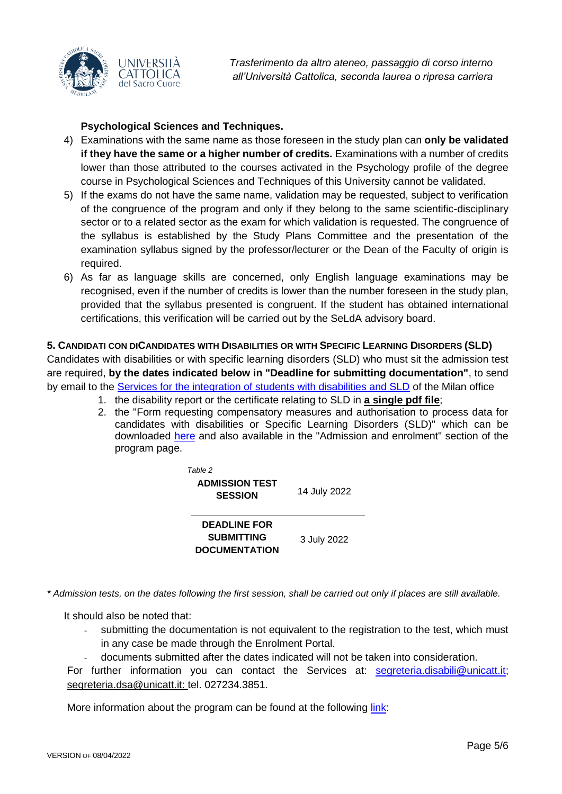

## **Psychological Sciences and Techniques.**

- 4) Examinations with the same name as those foreseen in the study plan can **only be validated if they have the same or a higher number of credits.** Examinations with a number of credits lower than those attributed to the courses activated in the Psychology profile of the degree course in Psychological Sciences and Techniques of this University cannot be validated.
- 5) If the exams do not have the same name, validation may be requested, subject to verification of the congruence of the program and only if they belong to the same scientific-disciplinary sector or to a related sector as the exam for which validation is requested. The congruence of the syllabus is established by the Study Plans Committee and the presentation of the examination syllabus signed by the professor/lecturer or the Dean of the Faculty of origin is required.
- 6) As far as language skills are concerned, only English language examinations may be recognised, even if the number of credits is lower than the number foreseen in the study plan, provided that the syllabus presented is congruent. If the student has obtained international certifications, this verification will be carried out by the SeLdA advisory board.

## <span id="page-4-0"></span>**5. CANDIDATI CON DICANDIDATES WITH DISABILITIES OR WITH SPECIFIC LEARNING DISORDERS (SLD)**

Candidates with disabilities or with specific learning disorders (SLD) who must sit the admission test are required, **by the dates indicated below in "Deadline for submitting documentation"**, to send by email to the [Services for the integration of students with disabilities and SLD](https://studenticattolica.unicatt.it/disabilita-e-dsa-inizia-da-qui) of the Milan office

- 1. the disability report or the certificate relating to SLD in **a single pdf file**;
- 2. the "Form requesting compensatory measures and authorisation to process data for candidates with disabilities or Specific Learning Disorders (SLD)" which can be downloaded [here](https://offertaformativa.unicatt.it/cdl-economics-manag-ammissioni-2021) and also available in the "Admission and enrolment" section of the program page.

*Table 2* **ADMISSION TEST SESSION** <sup>14</sup> July <sup>2022</sup> **DEADLINE FOR SUBMITTING DOCUMENTATION** 3 July 2022

*\* Admission tests, on the dates following the first session, shall be carried out only if places are still available.*

It should also be noted that:

- submitting the documentation is not equivalent to the registration to the test, which must in any case be made through the Enrolment Portal.
	- documents submitted after the dates indicated will not be taken into consideration.

For further information you can contact the Services at: [segreteria.disabili@unicatt.it;](mailto:segreteria.disabili@unicatt.it) segreteria.dsa@unicatt.it: tel. 027234.3851.

More information about the program can be found at the following [link:](https://www.unicatt.it/corsi/psychology-milano-admissions-and-enrolment)